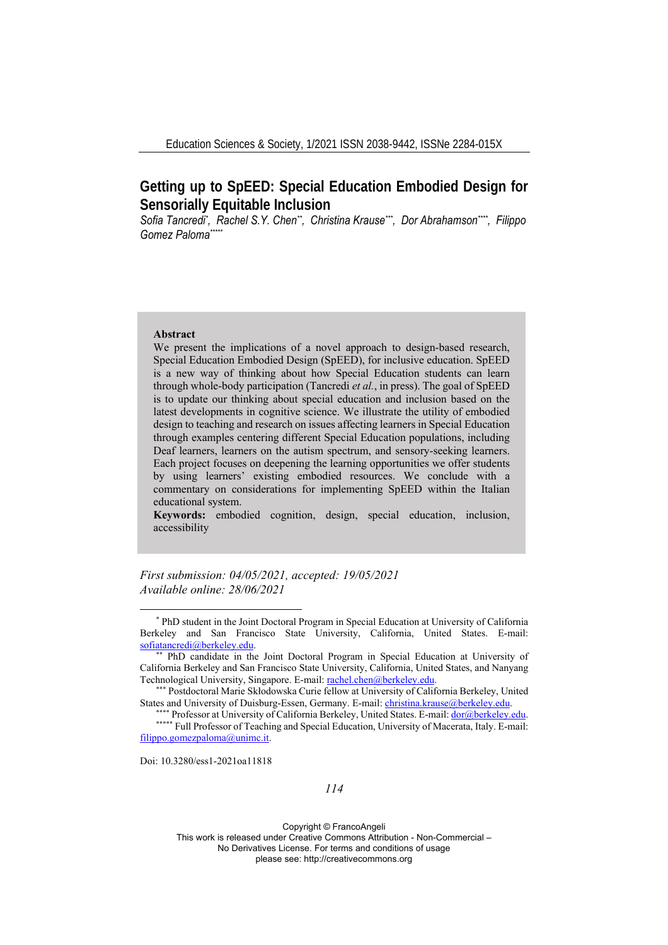# **Getting up to SpEED: Special Education Embodied Design for Sensorially Equitable Inclusion**

Sofia Tancredi\*, Rachel S.Y. Chen\*\*, Christina Krause\*\*\*, Dor Abrahamson\*\*\*\*, Filippo *Gomez Paloma\*\*\*\*\**

## **Abstract**

We present the implications of a novel approach to design-based research, Special Education Embodied Design (SpEED), for inclusive education. SpEED is a new way of thinking about how Special Education students can learn through whole-body participation (Tancredi *et al.*, in press). The goal of SpEED is to update our thinking about special education and inclusion based on the latest developments in cognitive science. We illustrate the utility of embodied design to teaching and research on issues affecting learners in Special Education through examples centering different Special Education populations, including Deaf learners, learners on the autism spectrum, and sensory-seeking learners. Each project focuses on deepening the learning opportunities we offer students by using learners' existing embodied resources. We conclude with a commentary on considerations for implementing SpEED within the Italian educational system.

**Keywords:** embodied cognition, design, special education, inclusion, accessibility

*First submission: 04/05/2021, accepted: 19/05/2021 Available online: 28/06/2021*

Doi: 10.3280/ess1-2021oa11818

<sup>\*</sup> PhD student in the Joint Doctoral Program in Special Education at University of California Berkeley and San Francisco State University, California, United States. E-mail: sofiatancredi@berkeley.edu. \*\* PhD candidate in the Joint Doctoral Program in Special Education at University of

California Berkeley and San Francisco State University, California, United States, and Nanyang Technological University, Singapore. E-mail: rachel.chen@berkeley.edu. \*\*\* Postdoctoral Marie Skłodowska Curie fellow at University of California Berkeley, United

States and University of Duisburg-Essen, Germany. E-mail: christina.krause@berkeley.edu.<br>\*\*\*\*\* Professor at University of California Berkeley, United States. E-mail:  $\frac{d$ or@berkeley.edu.<br>\*\*\*\*\* Full Professor of Teaching

filippo.gomezpaloma@unimc.it.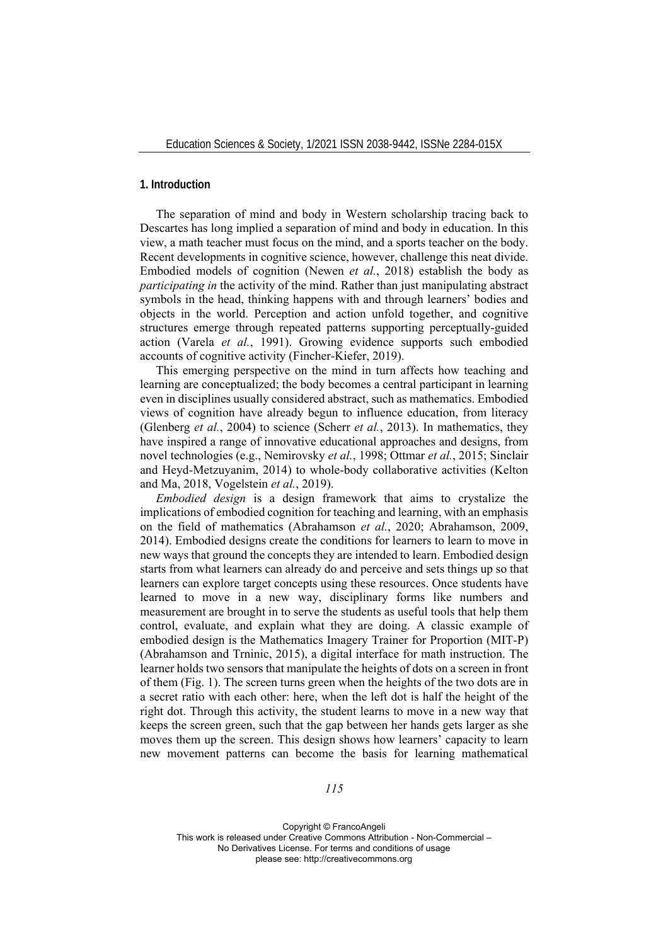## **1. Introduction**

The separation of mind and body in Western scholarship tracing back to Descartes has long implied a separation of mind and body in education. In this view, a math teacher must focus on the mind, and a sports teacher on the body. Recent developments in cognitive science, however, challenge this neat divide. Embodied models of cognition (Newen *et al.*, 2018) establish the body as *participating in* the activity of the mind. Rather than just manipulating abstract symbols in the head, thinking happens with and through learners' bodies and objects in the world. Perception and action unfold together, and cognitive structures emerge through repeated patterns supporting perceptually-guided action (Varela *et al.*, 1991). Growing evidence supports such embodied accounts of cognitive activity (Fincher-Kiefer, 2019).

This emerging perspective on the mind in turn affects how teaching and learning are conceptualized; the body becomes a central participant in learning even in disciplines usually considered abstract, such as mathematics. Embodied views of cognition have already begun to influence education, from literacy (Glenberg *et al.*, 2004) to science (Scherr *et al.*, 2013). In mathematics, they have inspired a range of innovative educational approaches and designs, from novel technologies (e.g., Nemirovsky *et al.*, 1998; Ottmar *et al.*, 2015; Sinclair and Heyd-Metzuyanim, 2014) to whole-body collaborative activities (Kelton and Ma, 2018, Vogelstein *et al.*, 2019).

*Embodied design* is a design framework that aims to crystalize the implications of embodied cognition for teaching and learning, with an emphasis on the field of mathematics (Abrahamson *et al.*, 2020; Abrahamson, 2009, 2014). Embodied designs create the conditions for learners to learn to move in new ways that ground the concepts they are intended to learn. Embodied design starts from what learners can already do and perceive and sets things up so that learners can explore target concepts using these resources. Once students have learned to move in a new way, disciplinary forms like numbers and measurement are brought in to serve the students as useful tools that help them control, evaluate, and explain what they are doing. A classic example of embodied design is the Mathematics Imagery Trainer for Proportion (MIT-P) (Abrahamson and Trninic, 2015), a digital interface for math instruction. The learner holds two sensors that manipulate the heights of dots on a screen in front of them (Fig. 1). The screen turns green when the heights of the two dots are in a secret ratio with each other: here, when the left dot is half the height of the right dot. Through this activity, the student learns to move in a new way that keeps the screen green, such that the gap between her hands gets larger as she moves them up the screen. This design shows how learners' capacity to learn new movement patterns can become the basis for learning mathematical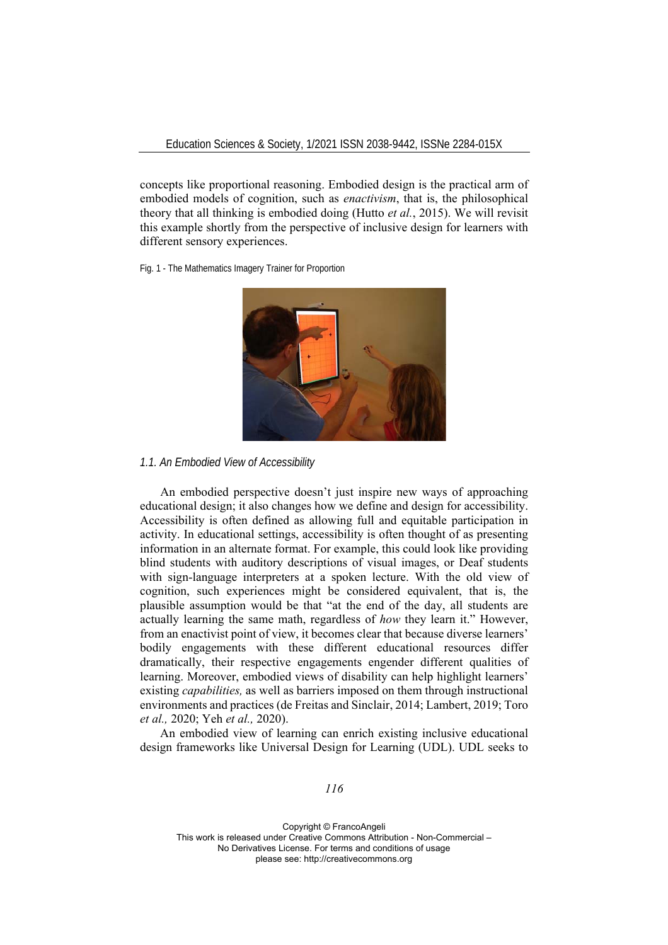concepts like proportional reasoning. Embodied design is the practical arm of embodied models of cognition, such as *enactivism*, that is, the philosophical theory that all thinking is embodied doing (Hutto *et al.*, 2015). We will revisit this example shortly from the perspective of inclusive design for learners with different sensory experiences.

Fig. 1 - The Mathematics Imagery Trainer for Proportion



### *1.1. An Embodied View of Accessibility*

An embodied perspective doesn't just inspire new ways of approaching educational design; it also changes how we define and design for accessibility. Accessibility is often defined as allowing full and equitable participation in activity. In educational settings, accessibility is often thought of as presenting information in an alternate format. For example, this could look like providing blind students with auditory descriptions of visual images, or Deaf students with sign-language interpreters at a spoken lecture. With the old view of cognition, such experiences might be considered equivalent, that is, the plausible assumption would be that "at the end of the day, all students are actually learning the same math, regardless of *how* they learn it." However, from an enactivist point of view, it becomes clear that because diverse learners' bodily engagements with these different educational resources differ dramatically, their respective engagements engender different qualities of learning. Moreover, embodied views of disability can help highlight learners' existing *capabilities,* as well as barriers imposed on them through instructional environments and practices (de Freitas and Sinclair, 2014; Lambert, 2019; Toro *et al.,* 2020; Yeh *et al.,* 2020).

An embodied view of learning can enrich existing inclusive educational design frameworks like Universal Design for Learning (UDL). UDL seeks to

*116*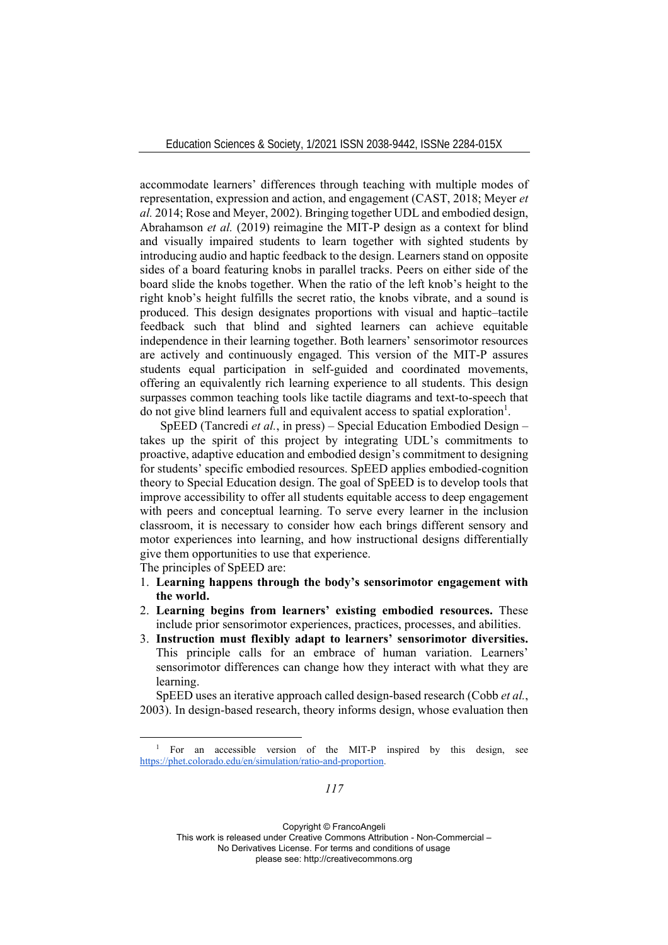accommodate learners' differences through teaching with multiple modes of representation, expression and action, and engagement (CAST, 2018; Meyer *et al.* 2014; Rose and Meyer, 2002). Bringing together UDL and embodied design, Abrahamson *et al.* (2019) reimagine the MIT-P design as a context for blind and visually impaired students to learn together with sighted students by introducing audio and haptic feedback to the design. Learners stand on opposite sides of a board featuring knobs in parallel tracks. Peers on either side of the board slide the knobs together. When the ratio of the left knob's height to the right knob's height fulfills the secret ratio, the knobs vibrate, and a sound is produced. This design designates proportions with visual and haptic–tactile feedback such that blind and sighted learners can achieve equitable independence in their learning together. Both learners' sensorimotor resources are actively and continuously engaged. This version of the MIT-P assures students equal participation in self-guided and coordinated movements, offering an equivalently rich learning experience to all students. This design surpasses common teaching tools like tactile diagrams and text-to-speech that do not give blind learners full and equivalent access to spatial exploration<sup>1</sup>.

SpEED (Tancredi *et al.*, in press) – Special Education Embodied Design – takes up the spirit of this project by integrating UDL's commitments to proactive, adaptive education and embodied design's commitment to designing for students' specific embodied resources. SpEED applies embodied-cognition theory to Special Education design. The goal of SpEED is to develop tools that improve accessibility to offer all students equitable access to deep engagement with peers and conceptual learning. To serve every learner in the inclusion classroom, it is necessary to consider how each brings different sensory and motor experiences into learning, and how instructional designs differentially give them opportunities to use that experience.

The principles of SpEED are:

- 1. **Learning happens through the body's sensorimotor engagement with the world.**
- 2. **Learning begins from learners' existing embodied resources.** These include prior sensorimotor experiences, practices, processes, and abilities.
- 3. **Instruction must flexibly adapt to learners' sensorimotor diversities.** This principle calls for an embrace of human variation. Learners' sensorimotor differences can change how they interact with what they are learning.

SpEED uses an iterative approach called design-based research (Cobb *et al.*, 2003). In design-based research, theory informs design, whose evaluation then

Copyright © FrancoAngeli

This work is released under Creative Commons Attribution - Non-Commercial –

No Derivatives License. For terms and conditions of usage

please see: http://creativecommons.org

<sup>&</sup>lt;sup>1</sup> For an accessible version of the MIT-P inspired by this design, see https://phet.colorado.edu/en/simulation/ratio-and-proportion.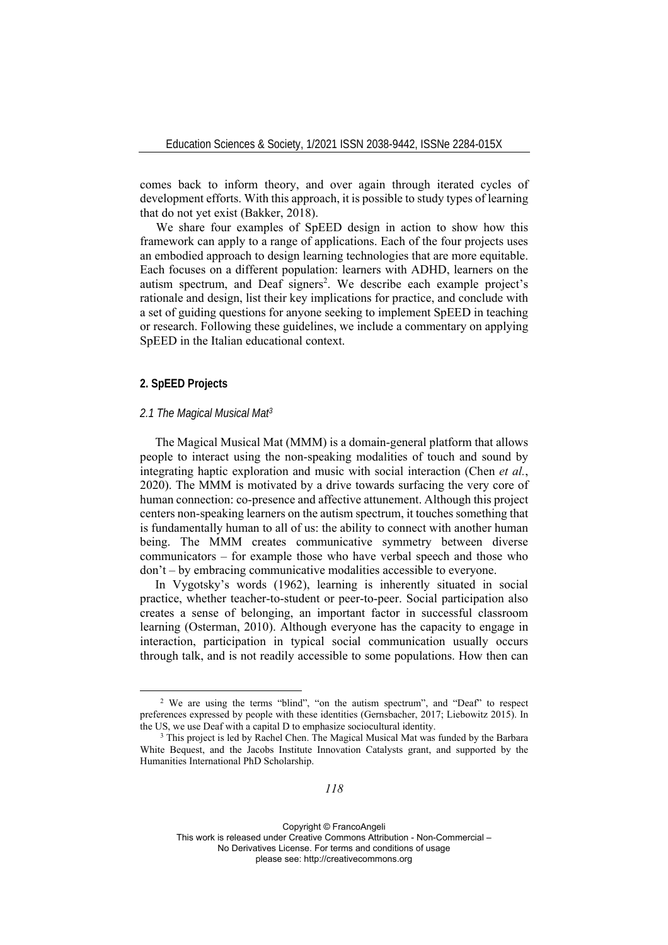comes back to inform theory, and over again through iterated cycles of development efforts. With this approach, it is possible to study types of learning that do not yet exist (Bakker, 2018).

We share four examples of SpEED design in action to show how this framework can apply to a range of applications. Each of the four projects uses an embodied approach to design learning technologies that are more equitable. Each focuses on a different population: learners with ADHD, learners on the autism spectrum, and Deaf signers<sup>2</sup>. We describe each example project's rationale and design, list their key implications for practice, and conclude with a set of guiding questions for anyone seeking to implement SpEED in teaching or research. Following these guidelines, we include a commentary on applying SpEED in the Italian educational context.

## **2. SpEED Projects**

### *2.1 The Magical Musical Mat3*

The Magical Musical Mat (MMM) is a domain-general platform that allows people to interact using the non-speaking modalities of touch and sound by integrating haptic exploration and music with social interaction (Chen *et al.*, 2020). The MMM is motivated by a drive towards surfacing the very core of human connection: co-presence and affective attunement. Although this project centers non-speaking learners on the autism spectrum, it touches something that is fundamentally human to all of us: the ability to connect with another human being. The MMM creates communicative symmetry between diverse communicators – for example those who have verbal speech and those who don't – by embracing communicative modalities accessible to everyone.

In Vygotsky's words (1962), learning is inherently situated in social practice, whether teacher-to-student or peer-to-peer. Social participation also creates a sense of belonging, an important factor in successful classroom learning (Osterman, 2010). Although everyone has the capacity to engage in interaction, participation in typical social communication usually occurs through talk, and is not readily accessible to some populations. How then can

Copyright © FrancoAngeli This work is released under Creative Commons Attribution - Non-Commercial – No Derivatives License. For terms and conditions of usage

please see: http://creativecommons.org

<sup>2</sup> We are using the terms "blind", "on the autism spectrum", and "Deaf" to respect preferences expressed by people with these identities (Gernsbacher, 2017; Liebowitz 2015). In the US, we use Deaf with a capital D to emphasize sociocultural identity.<br><sup>3</sup> This project is led by Rachel Chen. The Magical Musical Mat was funded by the Barbara

White Bequest, and the Jacobs Institute Innovation Catalysts grant, and supported by the Humanities International PhD Scholarship.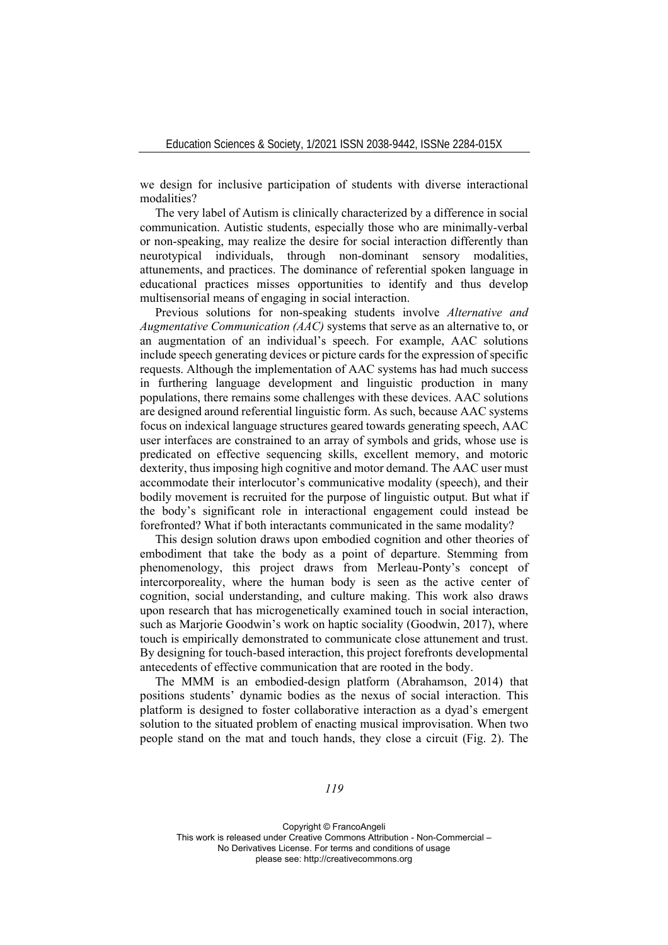we design for inclusive participation of students with diverse interactional modalities?

The very label of Autism is clinically characterized by a difference in social communication. Autistic students, especially those who are minimally-verbal or non-speaking, may realize the desire for social interaction differently than neurotypical individuals, through non-dominant sensory modalities, attunements, and practices. The dominance of referential spoken language in educational practices misses opportunities to identify and thus develop multisensorial means of engaging in social interaction.

Previous solutions for non-speaking students involve *Alternative and Augmentative Communication (AAC)* systems that serve as an alternative to, or an augmentation of an individual's speech. For example, AAC solutions include speech generating devices or picture cards for the expression of specific requests. Although the implementation of AAC systems has had much success in furthering language development and linguistic production in many populations, there remains some challenges with these devices. AAC solutions are designed around referential linguistic form. As such, because AAC systems focus on indexical language structures geared towards generating speech, AAC user interfaces are constrained to an array of symbols and grids, whose use is predicated on effective sequencing skills, excellent memory, and motoric dexterity, thus imposing high cognitive and motor demand. The AAC user must accommodate their interlocutor's communicative modality (speech), and their bodily movement is recruited for the purpose of linguistic output. But what if the body's significant role in interactional engagement could instead be forefronted? What if both interactants communicated in the same modality?

This design solution draws upon embodied cognition and other theories of embodiment that take the body as a point of departure. Stemming from phenomenology, this project draws from Merleau-Ponty's concept of intercorporeality, where the human body is seen as the active center of cognition, social understanding, and culture making. This work also draws upon research that has microgenetically examined touch in social interaction, such as Marjorie Goodwin's work on haptic sociality (Goodwin, 2017), where touch is empirically demonstrated to communicate close attunement and trust. By designing for touch-based interaction, this project forefronts developmental antecedents of effective communication that are rooted in the body.

The MMM is an embodied-design platform (Abrahamson, 2014) that positions students' dynamic bodies as the nexus of social interaction. This platform is designed to foster collaborative interaction as a dyad's emergent solution to the situated problem of enacting musical improvisation. When two people stand on the mat and touch hands, they close a circuit (Fig. 2). The

*119*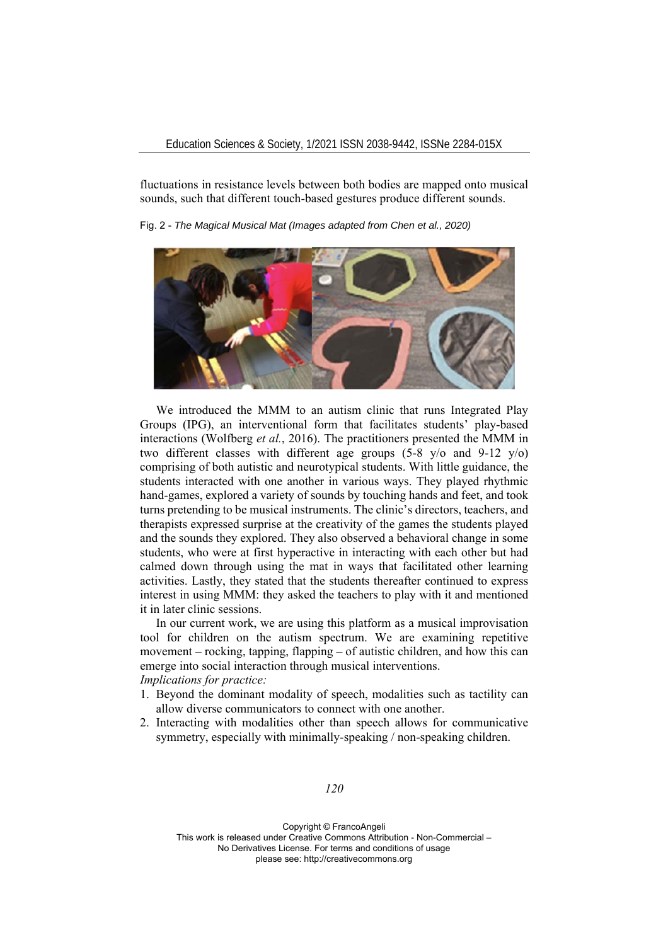fluctuations in resistance levels between both bodies are mapped onto musical sounds, such that different touch-based gestures produce different sounds.

Fig. 2 - *The Magical Musical Mat (Images adapted from Chen et al., 2020)* 



We introduced the MMM to an autism clinic that runs Integrated Play Groups (IPG), an interventional form that facilitates students' play-based interactions (Wolfberg *et al.*, 2016). The practitioners presented the MMM in two different classes with different age groups  $(5-8 \text{ y/o})$  and  $(9-12 \text{ y/o})$ comprising of both autistic and neurotypical students. With little guidance, the students interacted with one another in various ways. They played rhythmic hand-games, explored a variety of sounds by touching hands and feet, and took turns pretending to be musical instruments. The clinic's directors, teachers, and therapists expressed surprise at the creativity of the games the students played and the sounds they explored. They also observed a behavioral change in some students, who were at first hyperactive in interacting with each other but had calmed down through using the mat in ways that facilitated other learning activities. Lastly, they stated that the students thereafter continued to express interest in using MMM: they asked the teachers to play with it and mentioned it in later clinic sessions.

In our current work, we are using this platform as a musical improvisation tool for children on the autism spectrum. We are examining repetitive movement – rocking, tapping, flapping – of autistic children, and how this can emerge into social interaction through musical interventions. *Implications for practice:* 

- 1. Beyond the dominant modality of speech, modalities such as tactility can allow diverse communicators to connect with one another.
- 2. Interacting with modalities other than speech allows for communicative symmetry, especially with minimally-speaking / non-speaking children.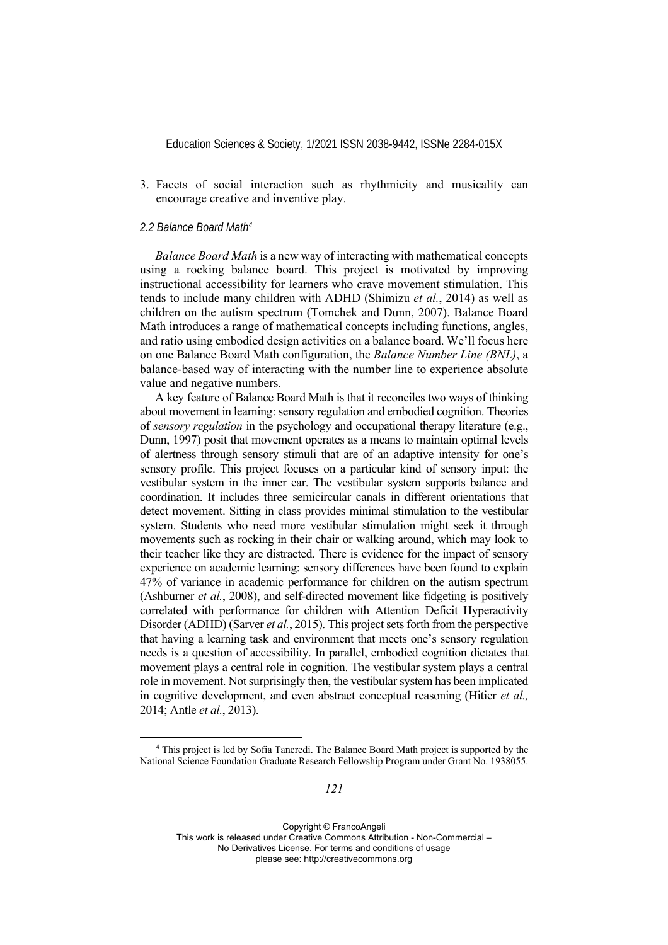3. Facets of social interaction such as rhythmicity and musicality can encourage creative and inventive play.

## *2.2 Balance Board Math4*

*Balance Board Math* is a new way of interacting with mathematical concepts using a rocking balance board. This project is motivated by improving instructional accessibility for learners who crave movement stimulation. This tends to include many children with ADHD (Shimizu *et al.*, 2014) as well as children on the autism spectrum (Tomchek and Dunn, 2007). Balance Board Math introduces a range of mathematical concepts including functions, angles, and ratio using embodied design activities on a balance board. We'll focus here on one Balance Board Math configuration, the *Balance Number Line (BNL)*, a balance-based way of interacting with the number line to experience absolute value and negative numbers.

A key feature of Balance Board Math is that it reconciles two ways of thinking about movement in learning: sensory regulation and embodied cognition. Theories of *sensory regulation* in the psychology and occupational therapy literature (e.g., Dunn, 1997) posit that movement operates as a means to maintain optimal levels of alertness through sensory stimuli that are of an adaptive intensity for one's sensory profile. This project focuses on a particular kind of sensory input: the vestibular system in the inner ear. The vestibular system supports balance and coordination. It includes three semicircular canals in different orientations that detect movement. Sitting in class provides minimal stimulation to the vestibular system. Students who need more vestibular stimulation might seek it through movements such as rocking in their chair or walking around, which may look to their teacher like they are distracted. There is evidence for the impact of sensory experience on academic learning: sensory differences have been found to explain 47% of variance in academic performance for children on the autism spectrum (Ashburner *et al.*, 2008), and self-directed movement like fidgeting is positively correlated with performance for children with Attention Deficit Hyperactivity Disorder (ADHD) (Sarver *et al.*, 2015). This project sets forth from the perspective that having a learning task and environment that meets one's sensory regulation needs is a question of accessibility. In parallel, embodied cognition dictates that movement plays a central role in cognition. The vestibular system plays a central role in movement. Not surprisingly then, the vestibular system has been implicated in cognitive development, and even abstract conceptual reasoning (Hitier *et al.,* 2014; Antle *et al.*, 2013).

<sup>4</sup> This project is led by Sofia Tancredi. The Balance Board Math project is supported by the National Science Foundation Graduate Research Fellowship Program under Grant No. 1938055.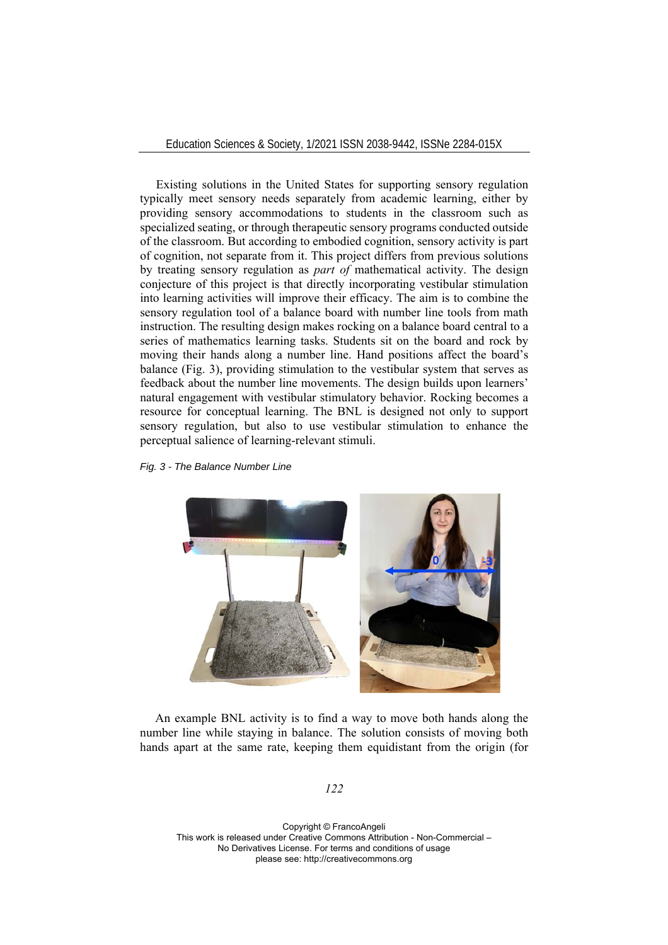Education Sciences & Society, 1/2021 ISSN 2038-9442, ISSNe 2284-015X

Existing solutions in the United States for supporting sensory regulation typically meet sensory needs separately from academic learning, either by providing sensory accommodations to students in the classroom such as specialized seating, or through therapeutic sensory programs conducted outside of the classroom. But according to embodied cognition, sensory activity is part of cognition, not separate from it. This project differs from previous solutions by treating sensory regulation as *part of* mathematical activity. The design conjecture of this project is that directly incorporating vestibular stimulation into learning activities will improve their efficacy. The aim is to combine the sensory regulation tool of a balance board with number line tools from math instruction. The resulting design makes rocking on a balance board central to a series of mathematics learning tasks. Students sit on the board and rock by moving their hands along a number line. Hand positions affect the board's balance (Fig. 3), providing stimulation to the vestibular system that serves as feedback about the number line movements. The design builds upon learners' natural engagement with vestibular stimulatory behavior. Rocking becomes a resource for conceptual learning. The BNL is designed not only to support sensory regulation, but also to use vestibular stimulation to enhance the perceptual salience of learning-relevant stimuli.

*Fig. 3 - The Balance Number Line* 



An example BNL activity is to find a way to move both hands along the number line while staying in balance. The solution consists of moving both hands apart at the same rate, keeping them equidistant from the origin (for

*122*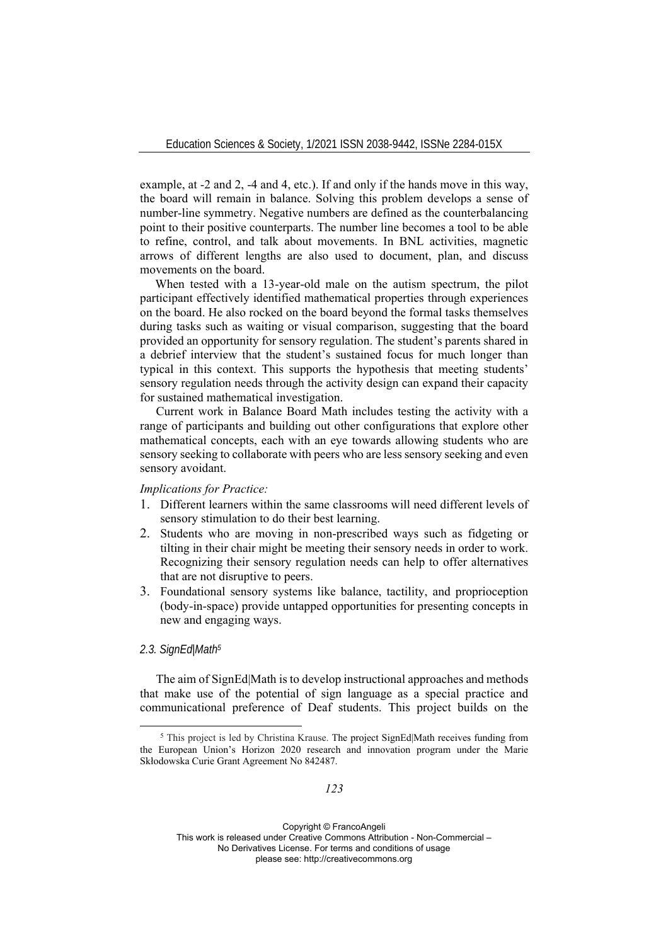example, at -2 and 2, -4 and 4, etc.). If and only if the hands move in this way, the board will remain in balance. Solving this problem develops a sense of number-line symmetry. Negative numbers are defined as the counterbalancing point to their positive counterparts. The number line becomes a tool to be able to refine, control, and talk about movements. In BNL activities, magnetic arrows of different lengths are also used to document, plan, and discuss movements on the board.

When tested with a 13-year-old male on the autism spectrum, the pilot participant effectively identified mathematical properties through experiences on the board. He also rocked on the board beyond the formal tasks themselves during tasks such as waiting or visual comparison, suggesting that the board provided an opportunity for sensory regulation. The student's parents shared in a debrief interview that the student's sustained focus for much longer than typical in this context. This supports the hypothesis that meeting students' sensory regulation needs through the activity design can expand their capacity for sustained mathematical investigation.

Current work in Balance Board Math includes testing the activity with a range of participants and building out other configurations that explore other mathematical concepts, each with an eye towards allowing students who are sensory seeking to collaborate with peers who are less sensory seeking and even sensory avoidant.

*Implications for Practice:* 

- 1. Different learners within the same classrooms will need different levels of sensory stimulation to do their best learning.
- 2. Students who are moving in non-prescribed ways such as fidgeting or tilting in their chair might be meeting their sensory needs in order to work. Recognizing their sensory regulation needs can help to offer alternatives that are not disruptive to peers.
- 3. Foundational sensory systems like balance, tactility, and proprioception (body-in-space) provide untapped opportunities for presenting concepts in new and engaging ways.

## *2.3. SignEd|Math5*

The aim of SignEd|Math is to develop instructional approaches and methods that make use of the potential of sign language as a special practice and communicational preference of Deaf students. This project builds on the

<sup>5</sup> This project is led by Christina Krause. The project SignEd|Math receives funding from the European Union's Horizon 2020 research and innovation program under the Marie Skłodowska Curie Grant Agreement No 842487.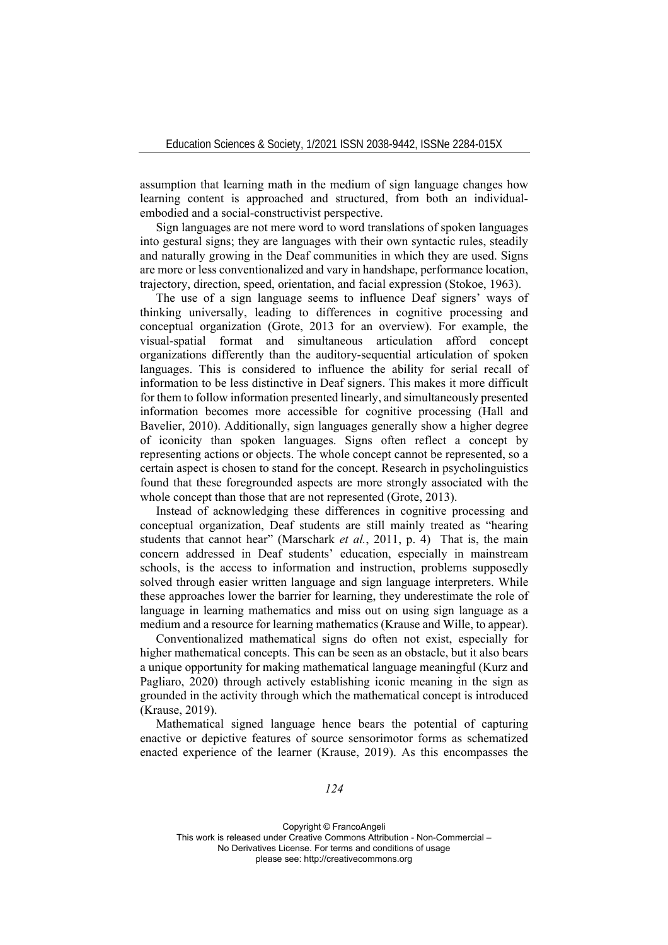assumption that learning math in the medium of sign language changes how learning content is approached and structured, from both an individualembodied and a social-constructivist perspective.

Sign languages are not mere word to word translations of spoken languages into gestural signs; they are languages with their own syntactic rules, steadily and naturally growing in the Deaf communities in which they are used. Signs are more or less conventionalized and vary in handshape, performance location, trajectory, direction, speed, orientation, and facial expression (Stokoe, 1963).

The use of a sign language seems to influence Deaf signers' ways of thinking universally, leading to differences in cognitive processing and conceptual organization (Grote, 2013 for an overview). For example, the visual-spatial format and simultaneous articulation afford concept organizations differently than the auditory-sequential articulation of spoken languages. This is considered to influence the ability for serial recall of information to be less distinctive in Deaf signers. This makes it more difficult for them to follow information presented linearly, and simultaneously presented information becomes more accessible for cognitive processing (Hall and Bavelier, 2010). Additionally, sign languages generally show a higher degree of iconicity than spoken languages. Signs often reflect a concept by representing actions or objects. The whole concept cannot be represented, so a certain aspect is chosen to stand for the concept. Research in psycholinguistics found that these foregrounded aspects are more strongly associated with the whole concept than those that are not represented (Grote, 2013).

Instead of acknowledging these differences in cognitive processing and conceptual organization, Deaf students are still mainly treated as "hearing students that cannot hear" (Marschark *et al.*, 2011, p. 4) That is, the main concern addressed in Deaf students' education, especially in mainstream schools, is the access to information and instruction, problems supposedly solved through easier written language and sign language interpreters. While these approaches lower the barrier for learning, they underestimate the role of language in learning mathematics and miss out on using sign language as a medium and a resource for learning mathematics (Krause and Wille, to appear).

Conventionalized mathematical signs do often not exist, especially for higher mathematical concepts. This can be seen as an obstacle, but it also bears a unique opportunity for making mathematical language meaningful (Kurz and Pagliaro, 2020) through actively establishing iconic meaning in the sign as grounded in the activity through which the mathematical concept is introduced (Krause, 2019).

Mathematical signed language hence bears the potential of capturing enactive or depictive features of source sensorimotor forms as schematized enacted experience of the learner (Krause, 2019). As this encompasses the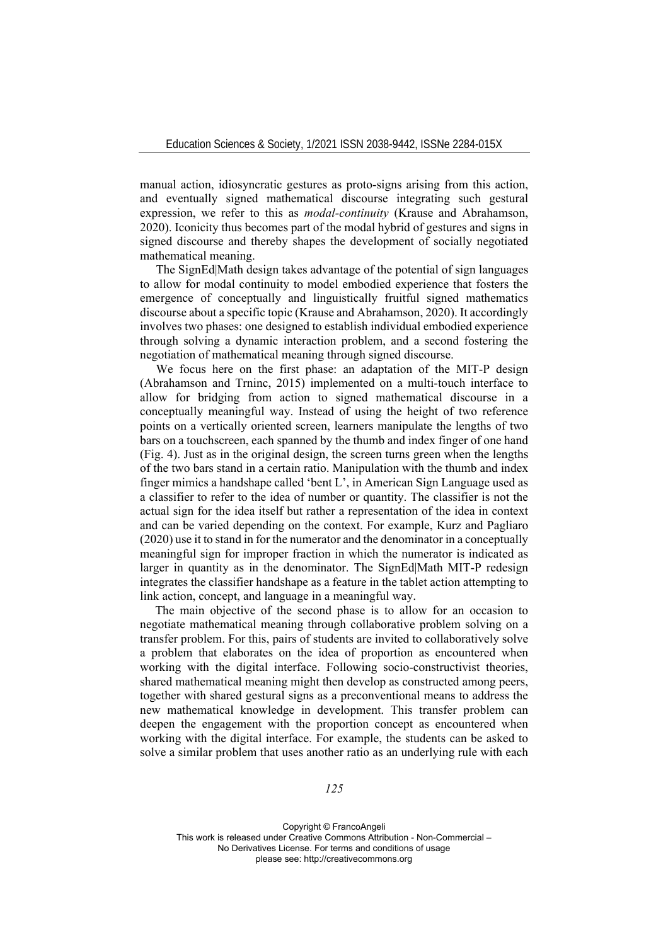manual action, idiosyncratic gestures as proto-signs arising from this action, and eventually signed mathematical discourse integrating such gestural expression, we refer to this as *modal-continuity* (Krause and Abrahamson, 2020). Iconicity thus becomes part of the modal hybrid of gestures and signs in signed discourse and thereby shapes the development of socially negotiated mathematical meaning.

The SignEd|Math design takes advantage of the potential of sign languages to allow for modal continuity to model embodied experience that fosters the emergence of conceptually and linguistically fruitful signed mathematics discourse about a specific topic (Krause and Abrahamson, 2020). It accordingly involves two phases: one designed to establish individual embodied experience through solving a dynamic interaction problem, and a second fostering the negotiation of mathematical meaning through signed discourse.

We focus here on the first phase: an adaptation of the MIT-P design (Abrahamson and Trninc, 2015) implemented on a multi-touch interface to allow for bridging from action to signed mathematical discourse in a conceptually meaningful way. Instead of using the height of two reference points on a vertically oriented screen, learners manipulate the lengths of two bars on a touchscreen, each spanned by the thumb and index finger of one hand (Fig. 4). Just as in the original design, the screen turns green when the lengths of the two bars stand in a certain ratio. Manipulation with the thumb and index finger mimics a handshape called 'bent L', in American Sign Language used as a classifier to refer to the idea of number or quantity. The classifier is not the actual sign for the idea itself but rather a representation of the idea in context and can be varied depending on the context. For example, Kurz and Pagliaro (2020) use it to stand in for the numerator and the denominator in a conceptually meaningful sign for improper fraction in which the numerator is indicated as larger in quantity as in the denominator. The SignEd|Math MIT-P redesign integrates the classifier handshape as a feature in the tablet action attempting to link action, concept, and language in a meaningful way.

The main objective of the second phase is to allow for an occasion to negotiate mathematical meaning through collaborative problem solving on a transfer problem. For this, pairs of students are invited to collaboratively solve a problem that elaborates on the idea of proportion as encountered when working with the digital interface. Following socio-constructivist theories, shared mathematical meaning might then develop as constructed among peers, together with shared gestural signs as a preconventional means to address the new mathematical knowledge in development. This transfer problem can deepen the engagement with the proportion concept as encountered when working with the digital interface. For example, the students can be asked to solve a similar problem that uses another ratio as an underlying rule with each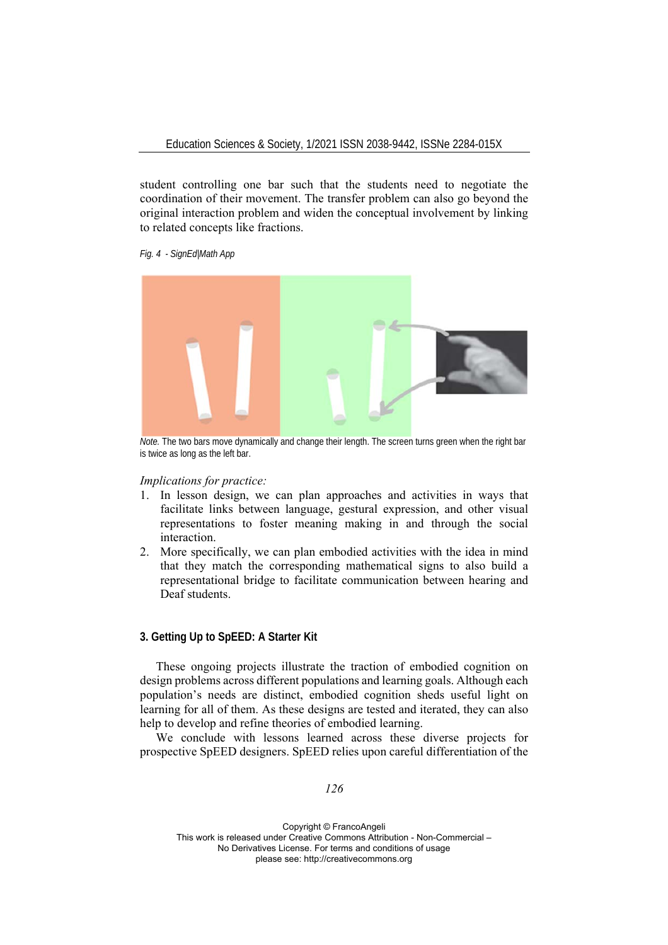student controlling one bar such that the students need to negotiate the coordination of their movement. The transfer problem can also go beyond the original interaction problem and widen the conceptual involvement by linking to related concepts like fractions.

*Fig. 4 - SignEd|Math App* 



*Note.* The two bars move dynamically and change their length. The screen turns green when the right bar is twice as long as the left bar.

### *Implications for practice:*

- 1. In lesson design, we can plan approaches and activities in ways that facilitate links between language, gestural expression, and other visual representations to foster meaning making in and through the social interaction.
- 2. More specifically, we can plan embodied activities with the idea in mind that they match the corresponding mathematical signs to also build a representational bridge to facilitate communication between hearing and Deaf students.

## **3. Getting Up to SpEED: A Starter Kit**

These ongoing projects illustrate the traction of embodied cognition on design problems across different populations and learning goals. Although each population's needs are distinct, embodied cognition sheds useful light on learning for all of them. As these designs are tested and iterated, they can also help to develop and refine theories of embodied learning.

We conclude with lessons learned across these diverse projects for prospective SpEED designers. SpEED relies upon careful differentiation of the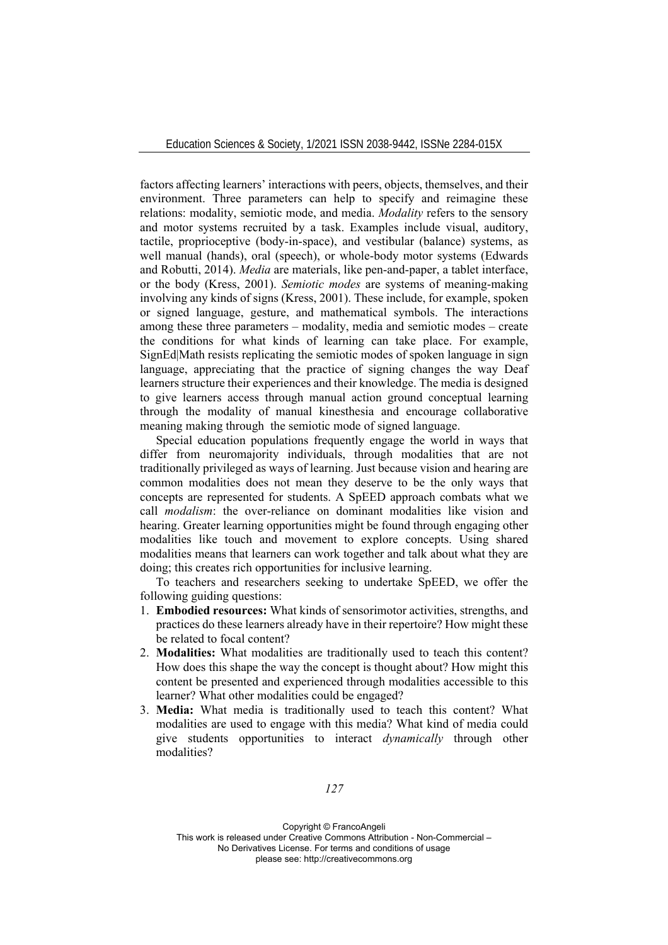factors affecting learners' interactions with peers, objects, themselves, and their environment. Three parameters can help to specify and reimagine these relations: modality, semiotic mode, and media. *Modality* refers to the sensory and motor systems recruited by a task. Examples include visual, auditory, tactile, proprioceptive (body-in-space), and vestibular (balance) systems, as well manual (hands), oral (speech), or whole-body motor systems (Edwards and Robutti, 2014). *Media* are materials, like pen-and-paper, a tablet interface, or the body (Kress, 2001). *Semiotic modes* are systems of meaning-making involving any kinds of signs (Kress, 2001). These include, for example, spoken or signed language, gesture, and mathematical symbols. The interactions among these three parameters – modality, media and semiotic modes – create the conditions for what kinds of learning can take place. For example, SignEd|Math resists replicating the semiotic modes of spoken language in sign language, appreciating that the practice of signing changes the way Deaf learners structure their experiences and their knowledge. The media is designed to give learners access through manual action ground conceptual learning through the modality of manual kinesthesia and encourage collaborative meaning making through the semiotic mode of signed language.

Special education populations frequently engage the world in ways that differ from neuromajority individuals, through modalities that are not traditionally privileged as ways of learning. Just because vision and hearing are common modalities does not mean they deserve to be the only ways that concepts are represented for students. A SpEED approach combats what we call *modalism*: the over-reliance on dominant modalities like vision and hearing. Greater learning opportunities might be found through engaging other modalities like touch and movement to explore concepts. Using shared modalities means that learners can work together and talk about what they are doing; this creates rich opportunities for inclusive learning.

To teachers and researchers seeking to undertake SpEED, we offer the following guiding questions:

- 1. **Embodied resources:** What kinds of sensorimotor activities, strengths, and practices do these learners already have in their repertoire? How might these be related to focal content?
- 2. **Modalities:** What modalities are traditionally used to teach this content? How does this shape the way the concept is thought about? How might this content be presented and experienced through modalities accessible to this learner? What other modalities could be engaged?
- 3. **Media:** What media is traditionally used to teach this content? What modalities are used to engage with this media? What kind of media could give students opportunities to interact *dynamically* through other modalities?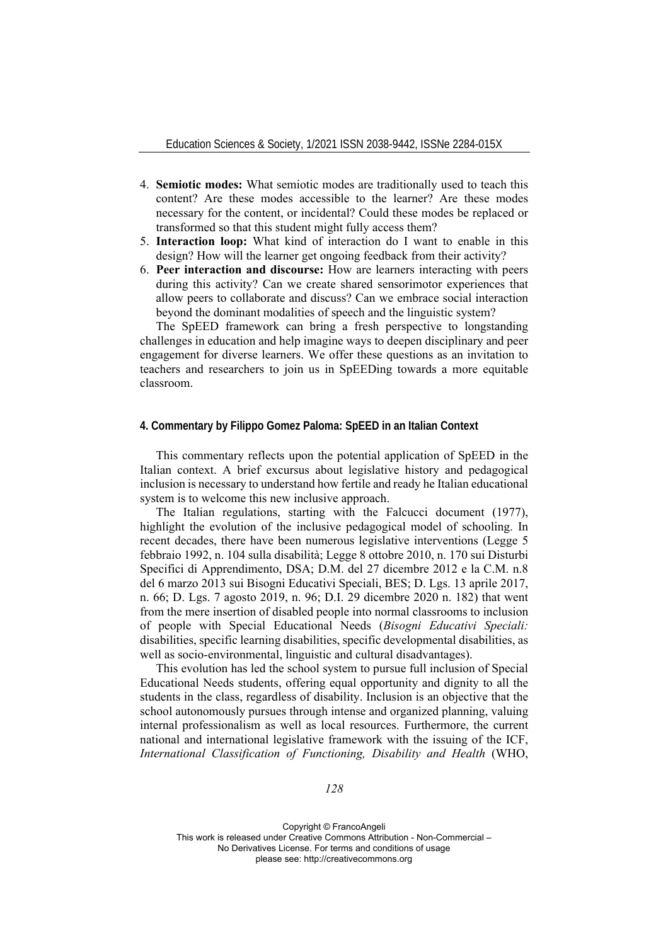- 4. **Semiotic modes:** What semiotic modes are traditionally used to teach this content? Are these modes accessible to the learner? Are these modes necessary for the content, or incidental? Could these modes be replaced or transformed so that this student might fully access them?
- 5. **Interaction loop:** What kind of interaction do I want to enable in this design? How will the learner get ongoing feedback from their activity?
- 6. **Peer interaction and discourse:** How are learners interacting with peers during this activity? Can we create shared sensorimotor experiences that allow peers to collaborate and discuss? Can we embrace social interaction beyond the dominant modalities of speech and the linguistic system?

The SpEED framework can bring a fresh perspective to longstanding challenges in education and help imagine ways to deepen disciplinary and peer engagement for diverse learners. We offer these questions as an invitation to teachers and researchers to join us in SpEEDing towards a more equitable classroom.

## **4. Commentary by Filippo Gomez Paloma: SpEED in an Italian Context**

This commentary reflects upon the potential application of SpEED in the Italian context. A brief excursus about legislative history and pedagogical inclusion is necessary to understand how fertile and ready he Italian educational system is to welcome this new inclusive approach.

The Italian regulations, starting with the Falcucci document (1977), highlight the evolution of the inclusive pedagogical model of schooling. In recent decades, there have been numerous legislative interventions (Legge 5 febbraio 1992, n. 104 sulla disabilità; Legge 8 ottobre 2010, n. 170 sui Disturbi Specifici di Apprendimento, DSA; D.M. del 27 dicembre 2012 e la C.M. n.8 del 6 marzo 2013 sui Bisogni Educativi Speciali, BES; D. Lgs. 13 aprile 2017, n. 66; D. Lgs. 7 agosto 2019, n. 96; D.I. 29 dicembre 2020 n. 182) that went from the mere insertion of disabled people into normal classrooms to inclusion of people with Special Educational Needs (*Bisogni Educativi Speciali:*  disabilities, specific learning disabilities, specific developmental disabilities, as well as socio-environmental, linguistic and cultural disadvantages).

This evolution has led the school system to pursue full inclusion of Special Educational Needs students, offering equal opportunity and dignity to all the students in the class, regardless of disability. Inclusion is an objective that the school autonomously pursues through intense and organized planning, valuing internal professionalism as well as local resources. Furthermore, the current national and international legislative framework with the issuing of the ICF, *International Classification of Functioning, Disability and Health* (WHO,

*128*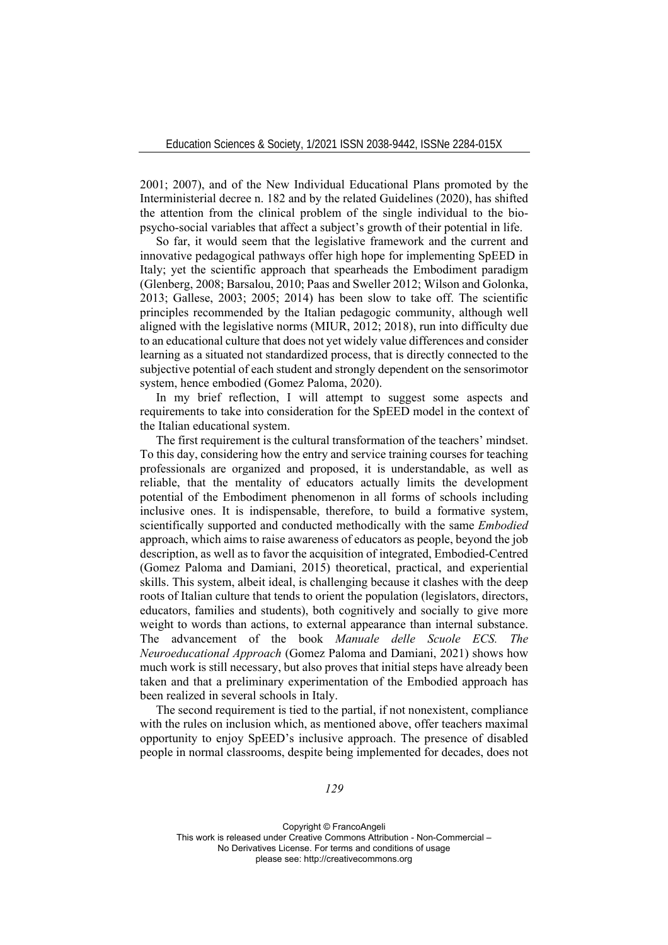2001; 2007), and of the New Individual Educational Plans promoted by the Interministerial decree n. 182 and by the related Guidelines (2020), has shifted the attention from the clinical problem of the single individual to the biopsycho-social variables that affect a subject's growth of their potential in life.

So far, it would seem that the legislative framework and the current and innovative pedagogical pathways offer high hope for implementing SpEED in Italy; yet the scientific approach that spearheads the Embodiment paradigm (Glenberg, 2008; Barsalou, 2010; Paas and Sweller 2012; Wilson and Golonka, 2013; Gallese, 2003; 2005; 2014) has been slow to take off. The scientific principles recommended by the Italian pedagogic community, although well aligned with the legislative norms (MIUR, 2012; 2018), run into difficulty due to an educational culture that does not yet widely value differences and consider learning as a situated not standardized process, that is directly connected to the subjective potential of each student and strongly dependent on the sensorimotor system, hence embodied (Gomez Paloma, 2020).

In my brief reflection, I will attempt to suggest some aspects and requirements to take into consideration for the SpEED model in the context of the Italian educational system.

The first requirement is the cultural transformation of the teachers' mindset. To this day, considering how the entry and service training courses for teaching professionals are organized and proposed, it is understandable, as well as reliable, that the mentality of educators actually limits the development potential of the Embodiment phenomenon in all forms of schools including inclusive ones. It is indispensable, therefore, to build a formative system, scientifically supported and conducted methodically with the same *Embodied* approach, which aims to raise awareness of educators as people, beyond the job description, as well as to favor the acquisition of integrated, Embodied-Centred (Gomez Paloma and Damiani, 2015) theoretical, practical, and experiential skills. This system, albeit ideal, is challenging because it clashes with the deep roots of Italian culture that tends to orient the population (legislators, directors, educators, families and students), both cognitively and socially to give more weight to words than actions, to external appearance than internal substance. The advancement of the book *Manuale delle Scuole ECS. The Neuroeducational Approach* (Gomez Paloma and Damiani, 2021) shows how much work is still necessary, but also proves that initial steps have already been taken and that a preliminary experimentation of the Embodied approach has been realized in several schools in Italy.

The second requirement is tied to the partial, if not nonexistent, compliance with the rules on inclusion which, as mentioned above, offer teachers maximal opportunity to enjoy SpEED's inclusive approach. The presence of disabled people in normal classrooms, despite being implemented for decades, does not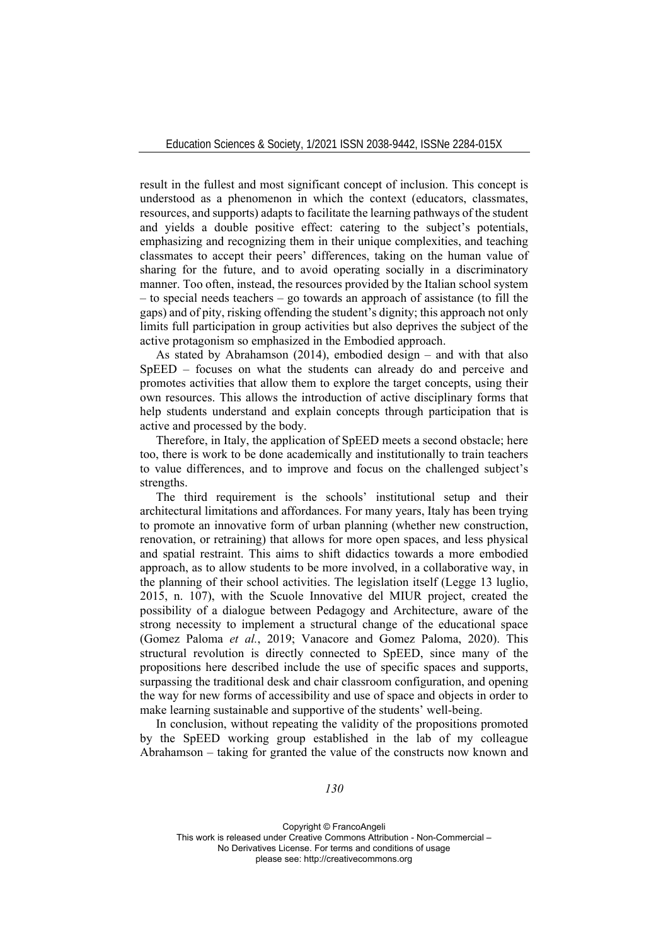result in the fullest and most significant concept of inclusion. This concept is understood as a phenomenon in which the context (educators, classmates, resources, and supports) adapts to facilitate the learning pathways of the student and yields a double positive effect: catering to the subject's potentials, emphasizing and recognizing them in their unique complexities, and teaching classmates to accept their peers' differences, taking on the human value of sharing for the future, and to avoid operating socially in a discriminatory manner. Too often, instead, the resources provided by the Italian school system – to special needs teachers – go towards an approach of assistance (to fill the gaps) and of pity, risking offending the student's dignity; this approach not only limits full participation in group activities but also deprives the subject of the active protagonism so emphasized in the Embodied approach.

As stated by Abrahamson (2014), embodied design – and with that also SpEED – focuses on what the students can already do and perceive and promotes activities that allow them to explore the target concepts, using their own resources. This allows the introduction of active disciplinary forms that help students understand and explain concepts through participation that is active and processed by the body.

Therefore, in Italy, the application of SpEED meets a second obstacle; here too, there is work to be done academically and institutionally to train teachers to value differences, and to improve and focus on the challenged subject's strengths.

The third requirement is the schools' institutional setup and their architectural limitations and affordances. For many years, Italy has been trying to promote an innovative form of urban planning (whether new construction, renovation, or retraining) that allows for more open spaces, and less physical and spatial restraint. This aims to shift didactics towards a more embodied approach, as to allow students to be more involved, in a collaborative way, in the planning of their school activities. The legislation itself (Legge 13 luglio, 2015, n. 107), with the Scuole Innovative del MIUR project, created the possibility of a dialogue between Pedagogy and Architecture, aware of the strong necessity to implement a structural change of the educational space (Gomez Paloma *et al.*, 2019; Vanacore and Gomez Paloma, 2020). This structural revolution is directly connected to SpEED, since many of the propositions here described include the use of specific spaces and supports, surpassing the traditional desk and chair classroom configuration, and opening the way for new forms of accessibility and use of space and objects in order to make learning sustainable and supportive of the students' well-being.

In conclusion, without repeating the validity of the propositions promoted by the SpEED working group established in the lab of my colleague Abrahamson – taking for granted the value of the constructs now known and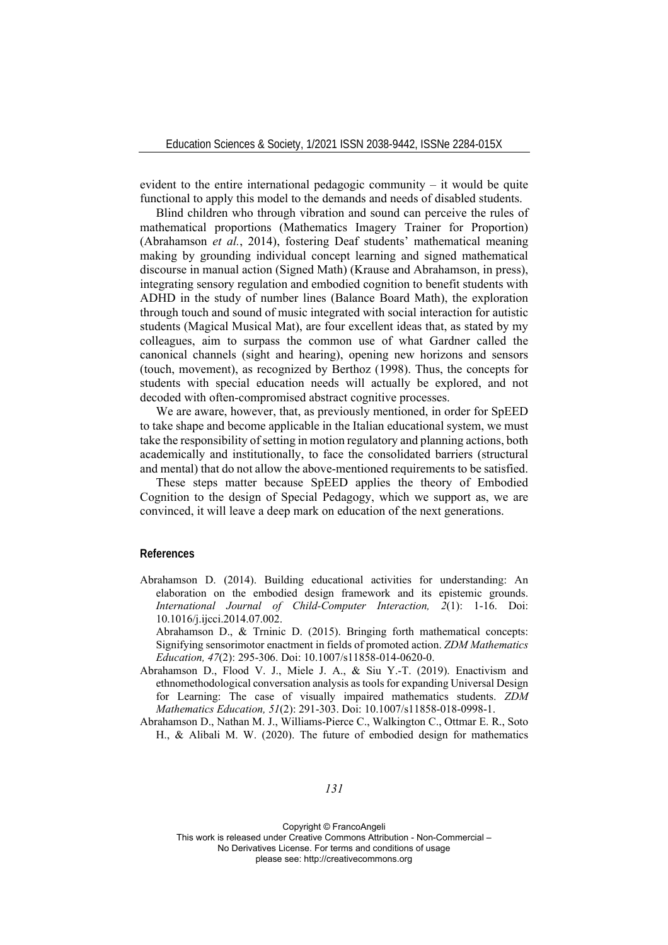evident to the entire international pedagogic community – it would be quite functional to apply this model to the demands and needs of disabled students.

Blind children who through vibration and sound can perceive the rules of mathematical proportions (Mathematics Imagery Trainer for Proportion) (Abrahamson *et al.*, 2014), fostering Deaf students' mathematical meaning making by grounding individual concept learning and signed mathematical discourse in manual action (Signed Math) (Krause and Abrahamson, in press), integrating sensory regulation and embodied cognition to benefit students with ADHD in the study of number lines (Balance Board Math), the exploration through touch and sound of music integrated with social interaction for autistic students (Magical Musical Mat), are four excellent ideas that, as stated by my colleagues, aim to surpass the common use of what Gardner called the canonical channels (sight and hearing), opening new horizons and sensors (touch, movement), as recognized by Berthoz (1998). Thus, the concepts for students with special education needs will actually be explored, and not decoded with often-compromised abstract cognitive processes.

We are aware, however, that, as previously mentioned, in order for SpEED to take shape and become applicable in the Italian educational system, we must take the responsibility of setting in motion regulatory and planning actions, both academically and institutionally, to face the consolidated barriers (structural and mental) that do not allow the above-mentioned requirements to be satisfied.

These steps matter because SpEED applies the theory of Embodied Cognition to the design of Special Pedagogy, which we support as, we are convinced, it will leave a deep mark on education of the next generations.

### **References**

Abrahamson D. (2014). Building educational activities for understanding: An elaboration on the embodied design framework and its epistemic grounds. *International Journal of Child-Computer Interaction, 2*(1): 1-16. Doi: 10.1016/j.ijcci.2014.07.002.

Abrahamson D., & Trninic D. (2015). Bringing forth mathematical concepts: Signifying sensorimotor enactment in fields of promoted action. *ZDM Mathematics Education, 47*(2): 295-306. Doi: 10.1007/s11858-014-0620-0.

Abrahamson D., Flood V. J., Miele J. A., & Siu Y.-T. (2019). Enactivism and ethnomethodological conversation analysis as tools for expanding Universal Design for Learning: The case of visually impaired mathematics students. *ZDM Mathematics Education, 51*(2): 291-303. Doi: 10.1007/s11858-018-0998-1.

Abrahamson D., Nathan M. J., Williams-Pierce C., Walkington C., Ottmar E. R., Soto H., & Alibali M. W. (2020). The future of embodied design for mathematics

## *131*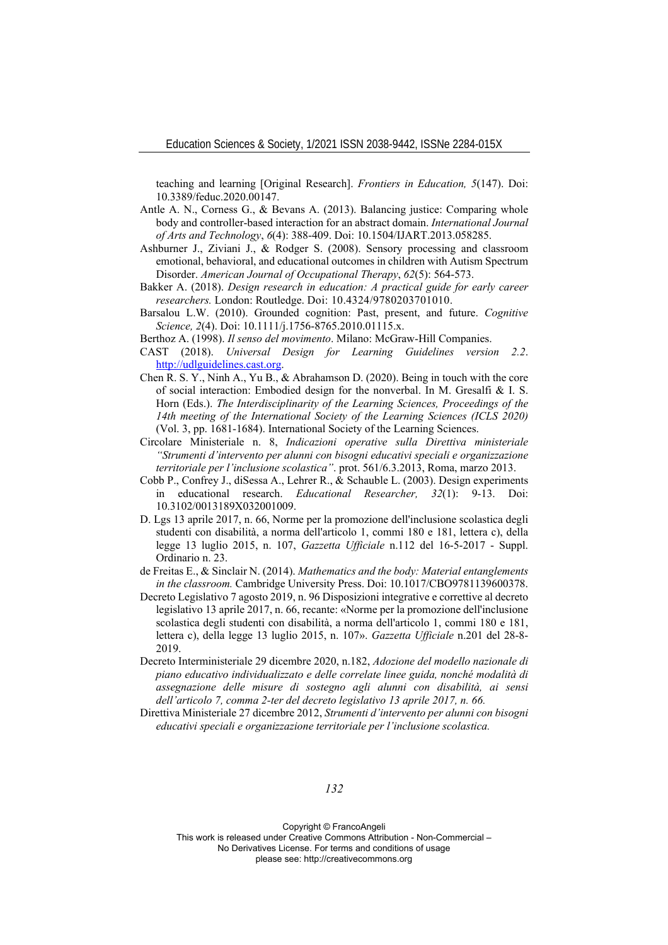teaching and learning [Original Research]. *Frontiers in Education, 5*(147). Doi: 10.3389/feduc.2020.00147.

- Antle A. N., Corness G., & Bevans A. (2013). Balancing justice: Comparing whole body and controller-based interaction for an abstract domain. *International Journal of Arts and Technology*, *6*(4): 388-409. Doi: 10.1504/IJART.2013.058285.
- Ashburner J., Ziviani J., & Rodger S. (2008). Sensory processing and classroom emotional, behavioral, and educational outcomes in children with Autism Spectrum Disorder. *American Journal of Occupational Therapy*, *62*(5): 564-573.
- Bakker A. (2018). *Design research in education: A practical guide for early career researchers.* London: Routledge. Doi: 10.4324/9780203701010.
- Barsalou L.W. (2010). Grounded cognition: Past, present, and future. *Cognitive Science, 2*(4). Doi: 10.1111/j.1756-8765.2010.01115.x.

Berthoz A. (1998). *Il senso del movimento*. Milano: McGraw-Hill Companies.

- CAST (2018). *Universal Design for Learning Guidelines version 2.2*. http://udlguidelines.cast.org.
- Chen R. S. Y., Ninh A., Yu B., & Abrahamson D. (2020). Being in touch with the core of social interaction: Embodied design for the nonverbal. In M. Gresalfi & I. S. Horn (Eds.). *The Interdisciplinarity of the Learning Sciences, Proceedings of the 14th meeting of the International Society of the Learning Sciences (ICLS 2020)* (Vol. 3, pp. 1681-1684). International Society of the Learning Sciences.
- Circolare Ministeriale n. 8, *Indicazioni operative sulla Direttiva ministeriale "Strumenti d'intervento per alunni con bisogni educativi speciali e organizzazione territoriale per l'inclusione scolastica"*. prot. 561/6.3.2013, Roma, marzo 2013.
- Cobb P., Confrey J., diSessa A., Lehrer R., & Schauble L. (2003). Design experiments in educational research. *Educational Researcher, 32*(1): 9-13. Doi: 10.3102/0013189X032001009.
- D. Lgs 13 aprile 2017, n. 66, Norme per la promozione dell'inclusione scolastica degli studenti con disabilità, a norma dell'articolo 1, commi 180 e 181, lettera c), della legge 13 luglio 2015, n. 107, *Gazzetta Ufficiale* n.112 del 16-5-2017 - Suppl. Ordinario n. 23.
- de Freitas E., & Sinclair N. (2014). *Mathematics and the body: Material entanglements in the classroom.* Cambridge University Press. Doi: 10.1017/CBO9781139600378.
- Decreto Legislativo 7 agosto 2019, n. 96 Disposizioni integrative e correttive al decreto legislativo 13 aprile 2017, n. 66, recante: «Norme per la promozione dell'inclusione scolastica degli studenti con disabilità, a norma dell'articolo 1, commi 180 e 181, lettera c), della legge 13 luglio 2015, n. 107». *Gazzetta Ufficiale* n.201 del 28-8- 2019.
- Decreto Interministeriale 29 dicembre 2020, n.182, *Adozione del modello nazionale di piano educativo individualizzato e delle correlate linee guida, nonché modalità di assegnazione delle misure di sostegno agli alunni con disabilità, ai sensi dell'articolo 7, comma 2-ter del decreto legislativo 13 aprile 2017, n. 66.*
- Direttiva Ministeriale 27 dicembre 2012, *Strumenti d'intervento per alunni con bisogni educativi speciali e organizzazione territoriale per l'inclusione scolastica.*

*132*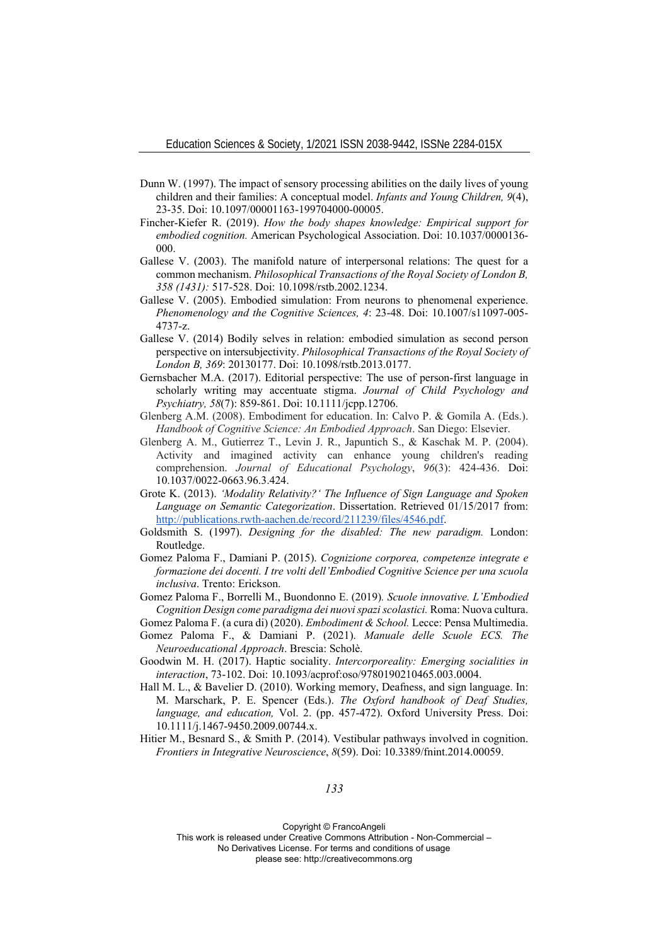- Dunn W. (1997). The impact of sensory processing abilities on the daily lives of young children and their families: A conceptual model. *Infants and Young Children, 9*(4), 23-35. Doi: 10.1097/00001163-199704000-00005.
- Fincher-Kiefer R. (2019). *How the body shapes knowledge: Empirical support for embodied cognition.* American Psychological Association. Doi: 10.1037/0000136- 000.
- Gallese V. (2003). The manifold nature of interpersonal relations: The quest for a common mechanism. *Philosophical Transactions of the Royal Society of London B, 358 (1431):* 517-528. Doi: 10.1098/rstb.2002.1234.
- Gallese V. (2005). Embodied simulation: From neurons to phenomenal experience. *Phenomenology and the Cognitive Sciences, 4*: 23-48. Doi: 10.1007/s11097-005- 4737-z.
- Gallese V. (2014) Bodily selves in relation: embodied simulation as second person perspective on intersubjectivity. *Philosophical Transactions of the Royal Society of London B, 369*: 20130177. Doi: 10.1098/rstb.2013.0177.
- Gernsbacher M.A. (2017). Editorial perspective: The use of person-first language in scholarly writing may accentuate stigma. *Journal of Child Psychology and Psychiatry, 58*(7): 859-861. Doi: 10.1111/jcpp.12706.
- Glenberg A.M. (2008). Embodiment for education. In: Calvo P. & Gomila A. (Eds.). *Handbook of Cognitive Science: An Embodied Approach*. San Diego: Elsevier.
- Glenberg A. M., Gutierrez T., Levin J. R., Japuntich S., & Kaschak M. P. (2004). Activity and imagined activity can enhance young children's reading comprehension. *Journal of Educational Psychology*, *96*(3): 424-436. Doi: 10.1037/0022-0663.96.3.424.
- Grote K. (2013). *'Modality Relativity?' The Influence of Sign Language and Spoken Language on Semantic Categorization*. Dissertation. Retrieved 01/15/2017 from: http://publications.rwth-aachen.de/record/211239/files/4546.pdf.
- Goldsmith S. (1997). *Designing for the disabled: The new paradigm.* London: Routledge.
- Gomez Paloma F., Damiani P. (2015). *Cognizione corporea, competenze integrate e formazione dei docenti. I tre volti dell'Embodied Cognitive Science per una scuola inclusiva*. Trento: Erickson.
- Gomez Paloma F., Borrelli M., Buondonno E. (2019)*. Scuole innovative. L'Embodied Cognition Design come paradigma dei nuovi spazi scolastici.* Roma: Nuova cultura.
- Gomez Paloma F. (a cura di) (2020). *Embodiment & School.* Lecce: Pensa Multimedia. Gomez Paloma F., & Damiani P. (2021). *Manuale delle Scuole ECS. The Neuroeducational Approach*. Brescia: Scholè.
- Goodwin M. H. (2017). Haptic sociality. *Intercorporeality: Emerging socialities in interaction*, 73-102. Doi: 10.1093/acprof:oso/9780190210465.003.0004.
- Hall M. L., & Bavelier D. (2010). Working memory, Deafness, and sign language. In: M. Marschark, P. E. Spencer (Eds.). *The Oxford handbook of Deaf Studies, language, and education,* Vol. 2. (pp. 457-472). Oxford University Press. Doi: 10.1111/j.1467-9450.2009.00744.x.
- Hitier M., Besnard S., & Smith P. (2014). Vestibular pathways involved in cognition. *Frontiers in Integrative Neuroscience*, *8*(59). Doi: 10.3389/fnint.2014.00059.

Copyright © FrancoAngeli This work is released under Creative Commons Attribution - Non-Commercial –

No Derivatives License. For terms and conditions of usage

please see: http://creativecommons.org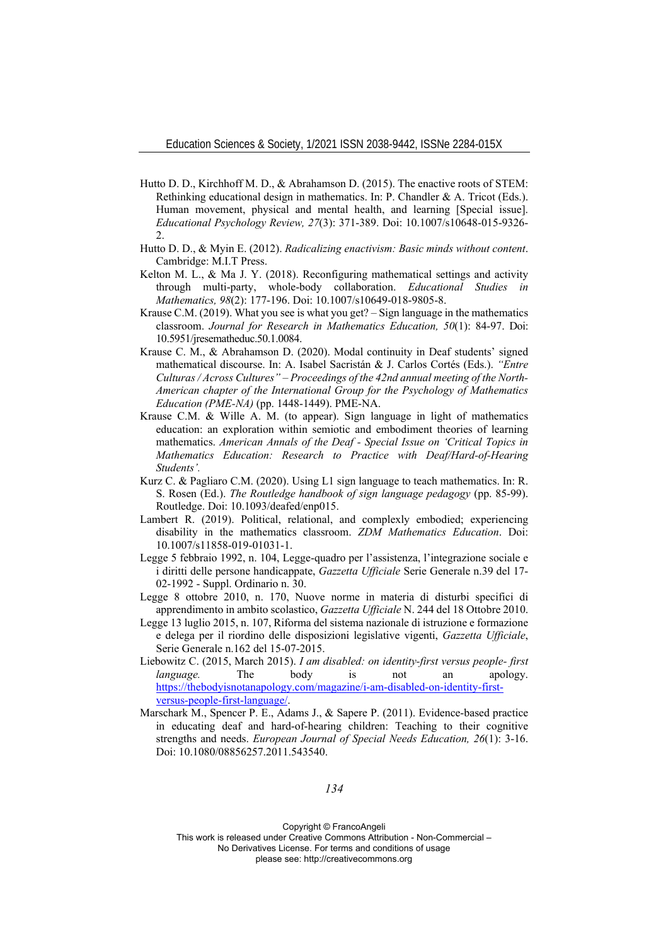- Hutto D. D., Kirchhoff M. D., & Abrahamson D. (2015). The enactive roots of STEM: Rethinking educational design in mathematics. In: P. Chandler & A. Tricot (Eds.). Human movement, physical and mental health, and learning [Special issue]. *Educational Psychology Review, 27*(3): 371-389. Doi: 10.1007/s10648-015-9326- 2.
- Hutto D. D., & Myin E. (2012). *Radicalizing enactivism: Basic minds without content*. Cambridge: M.I.T Press.
- Kelton M. L., & Ma J. Y. (2018). Reconfiguring mathematical settings and activity through multi-party, whole-body collaboration. *Educational Studies in Mathematics, 98*(2): 177-196. Doi: 10.1007/s10649-018-9805-8.
- Krause C.M. (2019). What you see is what you get? Sign language in the mathematics classroom. *Journal for Research in Mathematics Education, 50*(1): 84-97. Doi: 10.5951/jresematheduc.50.1.0084.
- Krause C. M., & Abrahamson D. (2020). Modal continuity in Deaf students' signed mathematical discourse. In: A. Isabel Sacristán & J. Carlos Cortés (Eds.). *"Entre Culturas / Across Cultures" – Proceedings of the 42nd annual meeting of the North-American chapter of the International Group for the Psychology of Mathematics Education (PME-NA)* (pp. 1448-1449). PME-NA.
- Krause C.M. & Wille A. M. (to appear). Sign language in light of mathematics education: an exploration within semiotic and embodiment theories of learning mathematics. *American Annals of the Deaf - Special Issue on 'Critical Topics in Mathematics Education: Research to Practice with Deaf/Hard-of-Hearing Students'.*
- Kurz C. & Pagliaro C.M. (2020). Using L1 sign language to teach mathematics. In: R. S. Rosen (Ed.). *The Routledge handbook of sign language pedagogy* (pp. 85-99). Routledge. Doi: 10.1093/deafed/enp015.
- Lambert R. (2019). Political, relational, and complexly embodied; experiencing disability in the mathematics classroom. *ZDM Mathematics Education*. Doi: 10.1007/s11858-019-01031-1.
- Legge 5 febbraio 1992, n. 104, Legge-quadro per l'assistenza, l'integrazione sociale e i diritti delle persone handicappate, *Gazzetta Ufficiale* Serie Generale n.39 del 17- 02-1992 - Suppl. Ordinario n. 30.
- Legge 8 ottobre 2010, n. 170, Nuove norme in materia di disturbi specifici di apprendimento in ambito scolastico, *Gazzetta Ufficiale* N. 244 del 18 Ottobre 2010.
- Legge 13 luglio 2015, n. 107, Riforma del sistema nazionale di istruzione e formazione e delega per il riordino delle disposizioni legislative vigenti, *Gazzetta Ufficiale*, Serie Generale n.162 del 15-07-2015.
- Liebowitz C. (2015, March 2015). *I am disabled: on identity-first versus people- first language.* The body is not an apology. https://thebodyisnotanapology.com/magazine/i-am-disabled-on-identity-firstversus-people-first-language/.
- Marschark M., Spencer P. E., Adams J., & Sapere P. (2011). Evidence-based practice in educating deaf and hard-of-hearing children: Teaching to their cognitive strengths and needs. *European Journal of Special Needs Education, 26*(1): 3-16. Doi: 10.1080/08856257.2011.543540.

Copyright © FrancoAngeli

This work is released under Creative Commons Attribution - Non-Commercial –

No Derivatives License. For terms and conditions of usage please see: http://creativecommons.org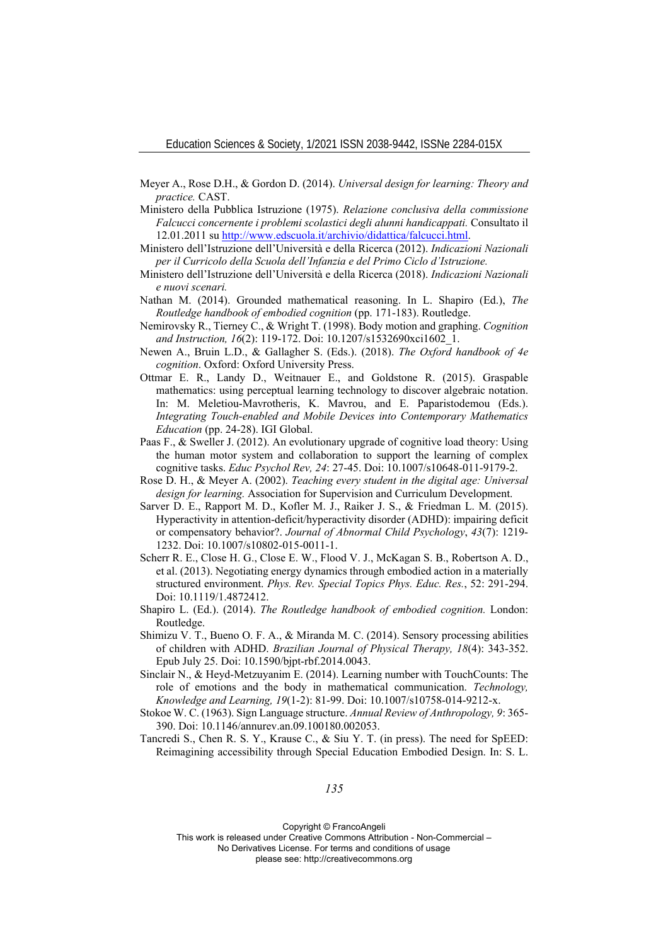- Meyer A., Rose D.H., & Gordon D. (2014). *Universal design for learning: Theory and practice.* CAST.
- Ministero della Pubblica Istruzione (1975). *Relazione conclusiva della commissione Falcucci concernente i problemi scolastici degli alunni handicappati.* Consultato il 12.01.2011 su http://www.edscuola.it/archivio/didattica/falcucci.html.
- Ministero dell'Istruzione dell'Università e della Ricerca (2012). *Indicazioni Nazionali per il Curricolo della Scuola dell'Infanzia e del Primo Ciclo d'Istruzione.*
- Ministero dell'Istruzione dell'Università e della Ricerca (2018). *Indicazioni Nazionali e nuovi scenari.*
- Nathan M. (2014). Grounded mathematical reasoning. In L. Shapiro (Ed.), *The Routledge handbook of embodied cognition* (pp. 171-183). Routledge.
- Nemirovsky R., Tierney C., & Wright T. (1998). Body motion and graphing. *Cognition and Instruction, 16*(2): 119-172. Doi: 10.1207/s1532690xci1602\_1.
- Newen A., Bruin L.D., & Gallagher S. (Eds.). (2018). *The Oxford handbook of 4e cognition*. Oxford: Oxford University Press.
- Ottmar E. R., Landy D., Weitnauer E., and Goldstone R. (2015). Graspable mathematics: using perceptual learning technology to discover algebraic notation. In: M. Meletiou-Mavrotheris, K. Mavrou, and E. Paparistodemou (Eds.). *Integrating Touch-enabled and Mobile Devices into Contemporary Mathematics Education* (pp. 24-28). IGI Global.
- Paas F., & Sweller J. (2012). An evolutionary upgrade of cognitive load theory: Using the human motor system and collaboration to support the learning of complex cognitive tasks. *Educ Psychol Rev, 24*: 27-45. Doi: 10.1007/s10648-011-9179-2.
- Rose D. H., & Meyer A. (2002). *Teaching every student in the digital age: Universal design for learning.* Association for Supervision and Curriculum Development.
- Sarver D. E., Rapport M. D., Kofler M. J., Raiker J. S., & Friedman L. M. (2015). Hyperactivity in attention-deficit/hyperactivity disorder (ADHD): impairing deficit or compensatory behavior?. *Journal of Abnormal Child Psychology*, *43*(7): 1219- 1232. Doi: 10.1007/s10802-015-0011-1.
- Scherr R. E., Close H. G., Close E. W., Flood V. J., McKagan S. B., Robertson A. D., et al. (2013). Negotiating energy dynamics through embodied action in a materially structured environment. *Phys. Rev. Special Topics Phys. Educ. Res.*, 52: 291-294. Doi: 10.1119/1.4872412.
- Shapiro L. (Ed.). (2014). *The Routledge handbook of embodied cognition.* London: Routledge.
- Shimizu V. T., Bueno O. F. A., & Miranda M. C. (2014). Sensory processing abilities of children with ADHD. *Brazilian Journal of Physical Therapy, 18*(4): 343-352. Epub July 25. Doi: 10.1590/bjpt-rbf.2014.0043.
- Sinclair N., & Heyd-Metzuyanim E. (2014). Learning number with TouchCounts: The role of emotions and the body in mathematical communication. *Technology, Knowledge and Learning, 19*(1-2): 81-99. Doi: 10.1007/s10758-014-9212-x.
- Stokoe W. C. (1963). Sign Language structure. *Annual Review of Anthropology, 9*: 365- 390. Doi: 10.1146/annurev.an.09.100180.002053.
- Tancredi S., Chen R. S. Y., Krause C., & Siu Y. T. (in press). The need for SpEED: Reimagining accessibility through Special Education Embodied Design. In: S. L.

*135* 

Copyright © FrancoAngeli

This work is released under Creative Commons Attribution - Non-Commercial – No Derivatives License. For terms and conditions of usage

please see: http://creativecommons.org